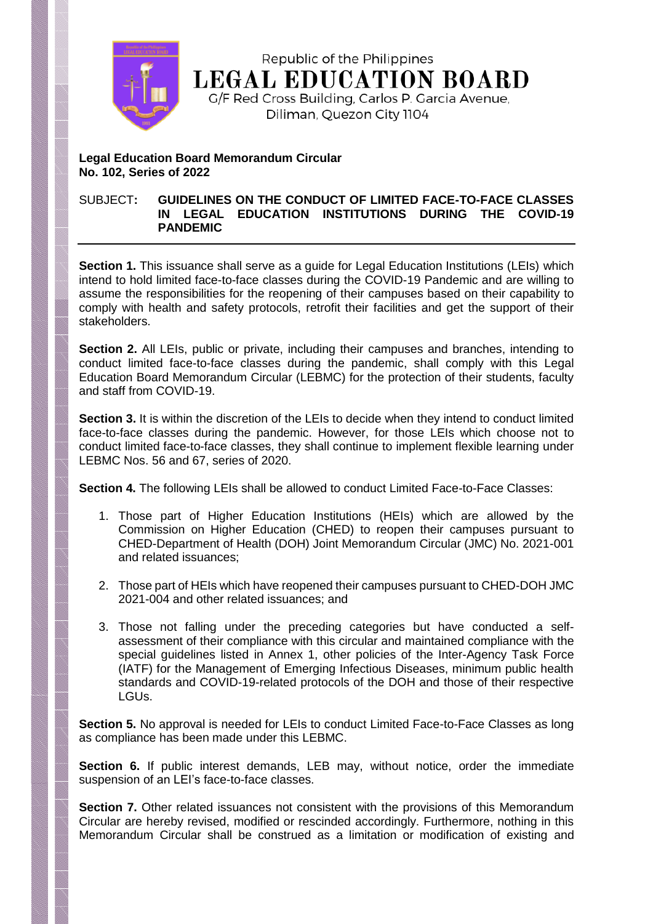

Republic of the Philippines **LEGAL EDUCATION BOARD** G/F Red Cross Building, Carlos P. Garcia Avenue,

Diliman, Quezon City 1104

## **Legal Education Board Memorandum Circular No. 102, Series of 2022**

### SUBJECT**: GUIDELINES ON THE CONDUCT OF LIMITED FACE-TO-FACE CLASSES IN LEGAL EDUCATION INSTITUTIONS DURING THE COVID-19 PANDEMIC**

**Section 1.** This issuance shall serve as a quide for Legal Education Institutions (LEIs) which intend to hold limited face-to-face classes during the COVID-19 Pandemic and are willing to assume the responsibilities for the reopening of their campuses based on their capability to comply with health and safety protocols, retrofit their facilities and get the support of their stakeholders.

**Section 2.** All LEIs, public or private, including their campuses and branches, intending to conduct limited face-to-face classes during the pandemic, shall comply with this Legal Education Board Memorandum Circular (LEBMC) for the protection of their students, faculty and staff from COVID-19.

**Section 3.** It is within the discretion of the LEIs to decide when they intend to conduct limited face-to-face classes during the pandemic. However, for those LEIs which choose not to conduct limited face-to-face classes, they shall continue to implement flexible learning under LEBMC Nos. 56 and 67, series of 2020.

**Section 4.** The following LEIs shall be allowed to conduct Limited Face-to-Face Classes:

- 1. Those part of Higher Education Institutions (HEIs) which are allowed by the Commission on Higher Education (CHED) to reopen their campuses pursuant to CHED-Department of Health (DOH) Joint Memorandum Circular (JMC) No. 2021-001 and related issuances;
- 2. Those part of HEIs which have reopened their campuses pursuant to CHED-DOH JMC 2021-004 and other related issuances; and
- 3. Those not falling under the preceding categories but have conducted a selfassessment of their compliance with this circular and maintained compliance with the special guidelines listed in Annex 1, other policies of the Inter-Agency Task Force (IATF) for the Management of Emerging Infectious Diseases, minimum public health standards and COVID-19-related protocols of the DOH and those of their respective LGUs.

**Section 5.** No approval is needed for LEIs to conduct Limited Face-to-Face Classes as long as compliance has been made under this LEBMC.

**Section 6.** If public interest demands, LEB may, without notice, order the immediate suspension of an LEI's face-to-face classes.

**Section 7.** Other related issuances not consistent with the provisions of this Memorandum Circular are hereby revised, modified or rescinded accordingly. Furthermore, nothing in this Memorandum Circular shall be construed as a limitation or modification of existing and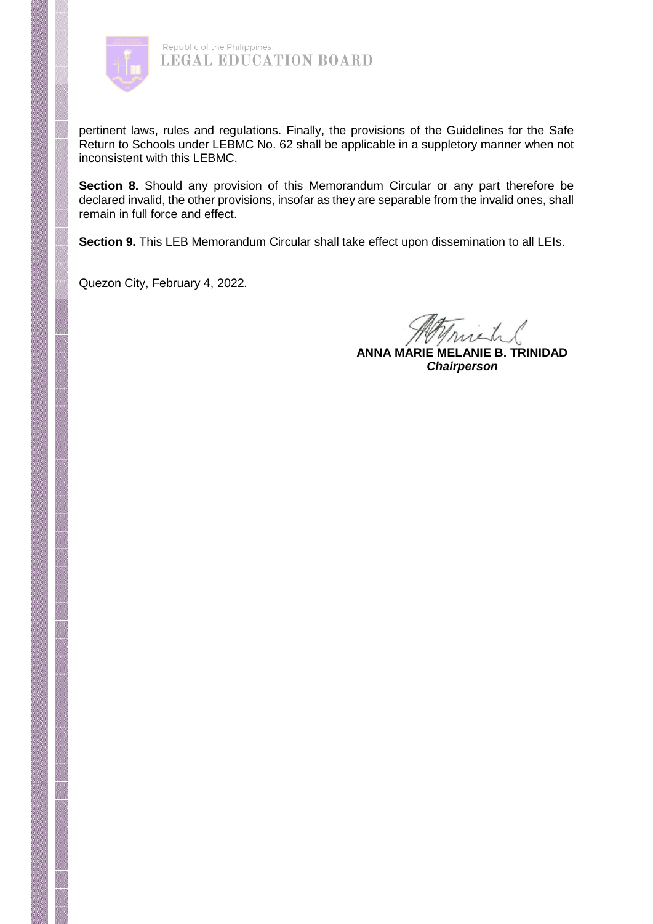

pertinent laws, rules and regulations. Finally, the provisions of the Guidelines for the Safe Return to Schools under LEBMC No. 62 shall be applicable in a suppletory manner when not inconsistent with this LEBMC.

**Section 8.** Should any provision of this Memorandum Circular or any part therefore be declared invalid, the other provisions, insofar as they are separable from the invalid ones, shall remain in full force and effect.

**Section 9.** This LEB Memorandum Circular shall take effect upon dissemination to all LEIs.

Quezon City, February 4, 2022.

nich.

**ANNA MARIE MELANIE B. TRINIDAD** *Chairperson*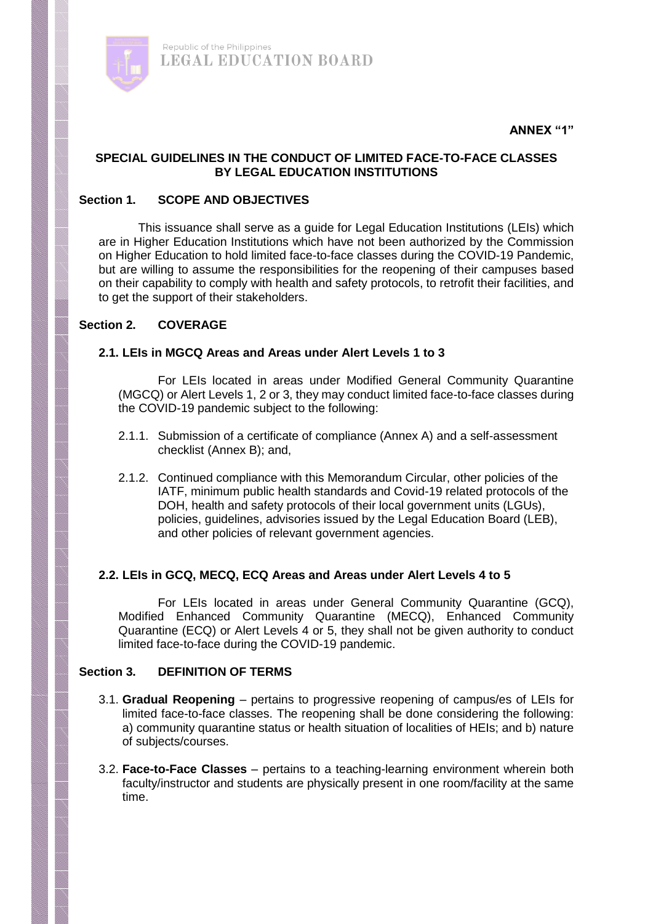

## **SPECIAL GUIDELINES IN THE CONDUCT OF LIMITED FACE-TO-FACE CLASSES BY LEGAL EDUCATION INSTITUTIONS**

## **Section 1. SCOPE AND OBJECTIVES**

Republic of the Philippines

**LEGAL EDUCATION BOARD** 

This issuance shall serve as a guide for Legal Education Institutions (LEIs) which are in Higher Education Institutions which have not been authorized by the Commission on Higher Education to hold limited face-to-face classes during the COVID-19 Pandemic, but are willing to assume the responsibilities for the reopening of their campuses based on their capability to comply with health and safety protocols, to retrofit their facilities, and to get the support of their stakeholders.

#### **Section 2. COVERAGE**

# **2.1. LEIs in MGCQ Areas and Areas under Alert Levels 1 to 3**

For LEIs located in areas under Modified General Community Quarantine (MGCQ) or Alert Levels 1, 2 or 3, they may conduct limited face-to-face classes during the COVID-19 pandemic subject to the following:

- 2.1.1. Submission of a certificate of compliance (Annex A) and a self-assessment checklist (Annex B); and,
- 2.1.2. Continued compliance with this Memorandum Circular, other policies of the IATF, minimum public health standards and Covid-19 related protocols of the DOH, health and safety protocols of their local government units (LGUs), policies, guidelines, advisories issued by the Legal Education Board (LEB), and other policies of relevant government agencies.

## **2.2. LEIs in GCQ, MECQ, ECQ Areas and Areas under Alert Levels 4 to 5**

For LEIs located in areas under General Community Quarantine (GCQ), Modified Enhanced Community Quarantine (MECQ), Enhanced Community Quarantine (ECQ) or Alert Levels 4 or 5, they shall not be given authority to conduct limited face-to-face during the COVID-19 pandemic.

#### **Section 3. DEFINITION OF TERMS**

- 3.1. **Gradual Reopening** pertains to progressive reopening of campus/es of LEIs for limited face-to-face classes. The reopening shall be done considering the following: a) community quarantine status or health situation of localities of HEIs; and b) nature of subjects/courses.
- 3.2. **Face-to-Face Classes** pertains to a teaching-learning environment wherein both faculty/instructor and students are physically present in one room/facility at the same time.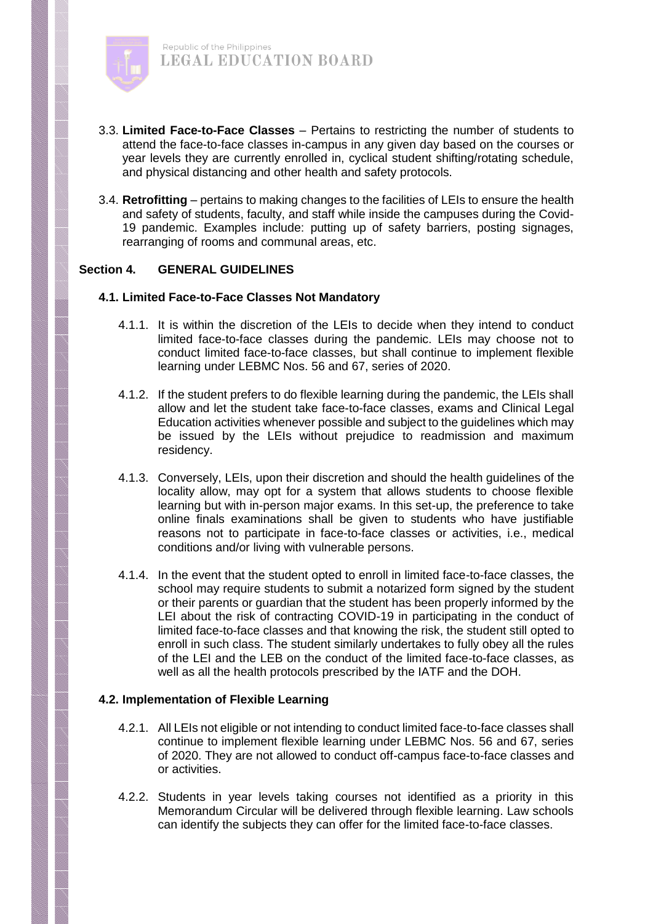

- 3.3. **Limited Face-to-Face Classes** Pertains to restricting the number of students to attend the face-to-face classes in-campus in any given day based on the courses or year levels they are currently enrolled in, cyclical student shifting/rotating schedule, and physical distancing and other health and safety protocols.
- 3.4. **Retrofitting** pertains to making changes to the facilities of LEIs to ensure the health and safety of students, faculty, and staff while inside the campuses during the Covid-19 pandemic. Examples include: putting up of safety barriers, posting signages, rearranging of rooms and communal areas, etc.

## **Section 4. GENERAL GUIDELINES**

#### **4.1. Limited Face-to-Face Classes Not Mandatory**

- 4.1.1. It is within the discretion of the LEIs to decide when they intend to conduct limited face-to-face classes during the pandemic. LEIs may choose not to conduct limited face-to-face classes, but shall continue to implement flexible learning under LEBMC Nos. 56 and 67, series of 2020.
- 4.1.2. If the student prefers to do flexible learning during the pandemic, the LEIs shall allow and let the student take face-to-face classes, exams and Clinical Legal Education activities whenever possible and subject to the guidelines which may be issued by the LEIs without prejudice to readmission and maximum residency.
- 4.1.3. Conversely, LEIs, upon their discretion and should the health guidelines of the locality allow, may opt for a system that allows students to choose flexible learning but with in-person major exams. In this set-up, the preference to take online finals examinations shall be given to students who have justifiable reasons not to participate in face-to-face classes or activities, i.e., medical conditions and/or living with vulnerable persons.
- 4.1.4. In the event that the student opted to enroll in limited face-to-face classes, the school may require students to submit a notarized form signed by the student or their parents or guardian that the student has been properly informed by the LEI about the risk of contracting COVID-19 in participating in the conduct of limited face-to-face classes and that knowing the risk, the student still opted to enroll in such class. The student similarly undertakes to fully obey all the rules of the LEI and the LEB on the conduct of the limited face-to-face classes, as well as all the health protocols prescribed by the IATF and the DOH.

## **4.2. Implementation of Flexible Learning**

- 4.2.1. All LEIs not eligible or not intending to conduct limited face-to-face classes shall continue to implement flexible learning under LEBMC Nos. 56 and 67, series of 2020. They are not allowed to conduct off-campus face-to-face classes and or activities.
- 4.2.2. Students in year levels taking courses not identified as a priority in this Memorandum Circular will be delivered through flexible learning. Law schools can identify the subjects they can offer for the limited face-to-face classes.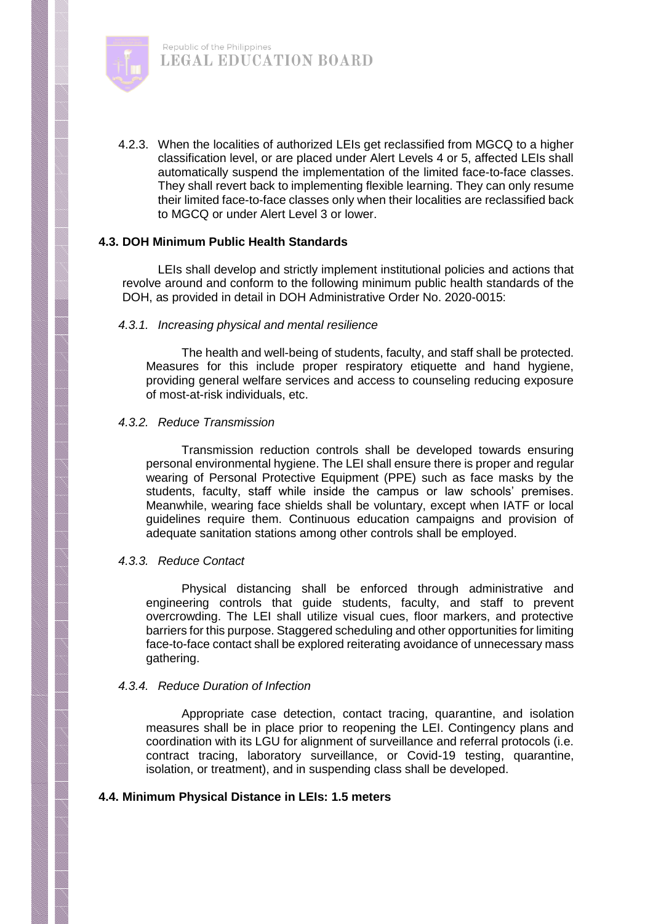

4.2.3. When the localities of authorized LEIs get reclassified from MGCQ to a higher classification level, or are placed under Alert Levels 4 or 5, affected LEIs shall automatically suspend the implementation of the limited face-to-face classes. They shall revert back to implementing flexible learning. They can only resume their limited face-to-face classes only when their localities are reclassified back to MGCQ or under Alert Level 3 or lower.

#### **4.3. DOH Minimum Public Health Standards**

LEIs shall develop and strictly implement institutional policies and actions that revolve around and conform to the following minimum public health standards of the DOH, as provided in detail in DOH Administrative Order No. 2020-0015:

#### *4.3.1. Increasing physical and mental resilience*

The health and well-being of students, faculty, and staff shall be protected. Measures for this include proper respiratory etiquette and hand hygiene, providing general welfare services and access to counseling reducing exposure of most-at-risk individuals, etc.

#### *4.3.2. Reduce Transmission*

Transmission reduction controls shall be developed towards ensuring personal environmental hygiene. The LEI shall ensure there is proper and regular wearing of Personal Protective Equipment (PPE) such as face masks by the students, faculty, staff while inside the campus or law schools' premises. Meanwhile, wearing face shields shall be voluntary, except when IATF or local guidelines require them. Continuous education campaigns and provision of adequate sanitation stations among other controls shall be employed.

## *4.3.3. Reduce Contact*

Physical distancing shall be enforced through administrative and engineering controls that guide students, faculty, and staff to prevent overcrowding. The LEI shall utilize visual cues, floor markers, and protective barriers for this purpose. Staggered scheduling and other opportunities for limiting face-to-face contact shall be explored reiterating avoidance of unnecessary mass gathering.

## *4.3.4. Reduce Duration of Infection*

Appropriate case detection, contact tracing, quarantine, and isolation measures shall be in place prior to reopening the LEI. Contingency plans and coordination with its LGU for alignment of surveillance and referral protocols (i.e. contract tracing, laboratory surveillance, or Covid-19 testing, quarantine, isolation, or treatment), and in suspending class shall be developed.

## **4.4. Minimum Physical Distance in LEIs: 1.5 meters**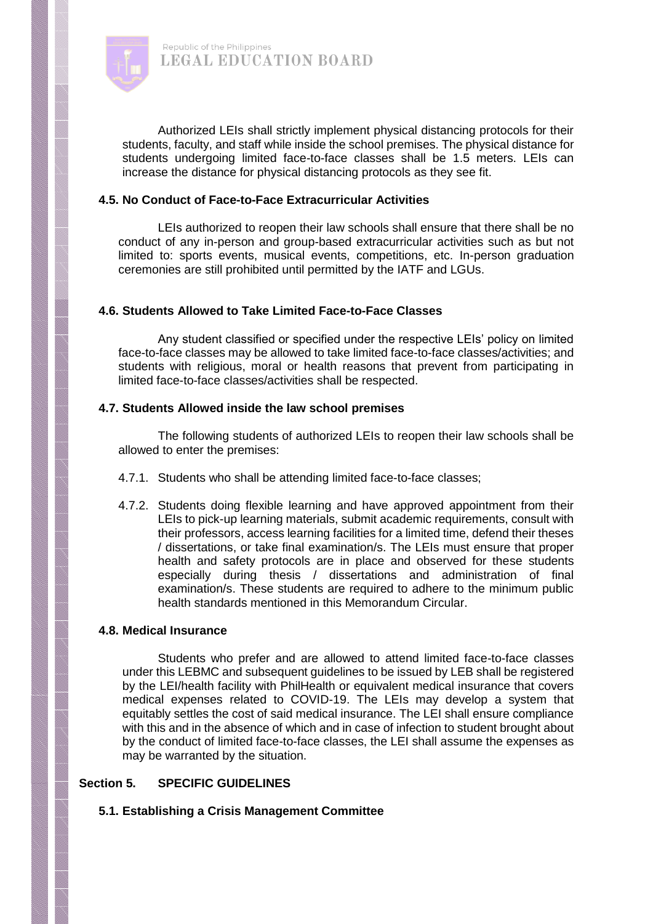

Authorized LEIs shall strictly implement physical distancing protocols for their students, faculty, and staff while inside the school premises. The physical distance for students undergoing limited face-to-face classes shall be 1.5 meters. LEIs can increase the distance for physical distancing protocols as they see fit.

#### **4.5. No Conduct of Face-to-Face Extracurricular Activities**

LEIs authorized to reopen their law schools shall ensure that there shall be no conduct of any in-person and group-based extracurricular activities such as but not limited to: sports events, musical events, competitions, etc. In-person graduation ceremonies are still prohibited until permitted by the IATF and LGUs.

#### **4.6. Students Allowed to Take Limited Face-to-Face Classes**

Any student classified or specified under the respective LEIs' policy on limited face-to-face classes may be allowed to take limited face-to-face classes/activities; and students with religious, moral or health reasons that prevent from participating in limited face-to-face classes/activities shall be respected.

#### **4.7. Students Allowed inside the law school premises**

The following students of authorized LEIs to reopen their law schools shall be allowed to enter the premises:

- 4.7.1. Students who shall be attending limited face-to-face classes;
- 4.7.2. Students doing flexible learning and have approved appointment from their LEIs to pick-up learning materials, submit academic requirements, consult with their professors, access learning facilities for a limited time, defend their theses / dissertations, or take final examination/s. The LEIs must ensure that proper health and safety protocols are in place and observed for these students especially during thesis / dissertations and administration of final examination/s. These students are required to adhere to the minimum public health standards mentioned in this Memorandum Circular.

#### **4.8. Medical Insurance**

Students who prefer and are allowed to attend limited face-to-face classes under this LEBMC and subsequent guidelines to be issued by LEB shall be registered by the LEI/health facility with PhilHealth or equivalent medical insurance that covers medical expenses related to COVID-19. The LEIs may develop a system that equitably settles the cost of said medical insurance. The LEI shall ensure compliance with this and in the absence of which and in case of infection to student brought about by the conduct of limited face-to-face classes, the LEI shall assume the expenses as may be warranted by the situation.

## **Section 5. SPECIFIC GUIDELINES**

## **5.1. Establishing a Crisis Management Committee**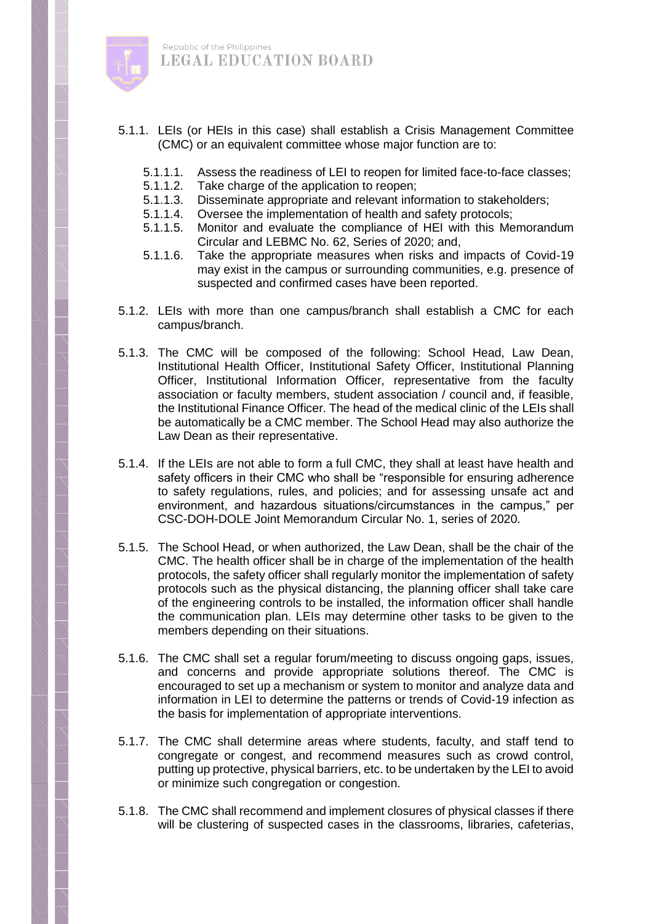

- 5.1.1. LEIs (or HEIs in this case) shall establish a Crisis Management Committee (CMC) or an equivalent committee whose major function are to:
	- 5.1.1.1. Assess the readiness of LEI to reopen for limited face-to-face classes;<br>5.1.1.2. Take charge of the application to reopen:
	- Take charge of the application to reopen;
	- 5.1.1.3. Disseminate appropriate and relevant information to stakeholders;
	- 5.1.1.4. Oversee the implementation of health and safety protocols;<br>5.1.1.5. Monitor and evaluate the compliance of HEI with this Me
	- 5.1.1.5. Monitor and evaluate the compliance of HEI with this Memorandum Circular and LEBMC No. 62, Series of 2020; and,
	- 5.1.1.6. Take the appropriate measures when risks and impacts of Covid-19 may exist in the campus or surrounding communities, e.g. presence of suspected and confirmed cases have been reported.
- 5.1.2. LEIs with more than one campus/branch shall establish a CMC for each campus/branch.
- 5.1.3. The CMC will be composed of the following: School Head, Law Dean, Institutional Health Officer, Institutional Safety Officer, Institutional Planning Officer, Institutional Information Officer, representative from the faculty association or faculty members, student association / council and, if feasible, the Institutional Finance Officer. The head of the medical clinic of the LEIs shall be automatically be a CMC member. The School Head may also authorize the Law Dean as their representative.
- 5.1.4. If the LEIs are not able to form a full CMC, they shall at least have health and safety officers in their CMC who shall be "responsible for ensuring adherence to safety regulations, rules, and policies; and for assessing unsafe act and environment, and hazardous situations/circumstances in the campus," per CSC-DOH-DOLE Joint Memorandum Circular No. 1, series of 2020.
- 5.1.5. The School Head, or when authorized, the Law Dean, shall be the chair of the CMC. The health officer shall be in charge of the implementation of the health protocols, the safety officer shall regularly monitor the implementation of safety protocols such as the physical distancing, the planning officer shall take care of the engineering controls to be installed, the information officer shall handle the communication plan. LEIs may determine other tasks to be given to the members depending on their situations.
- 5.1.6. The CMC shall set a regular forum/meeting to discuss ongoing gaps, issues, and concerns and provide appropriate solutions thereof. The CMC is encouraged to set up a mechanism or system to monitor and analyze data and information in LEI to determine the patterns or trends of Covid-19 infection as the basis for implementation of appropriate interventions.
- 5.1.7. The CMC shall determine areas where students, faculty, and staff tend to congregate or congest, and recommend measures such as crowd control, putting up protective, physical barriers, etc. to be undertaken by the LEI to avoid or minimize such congregation or congestion.
- 5.1.8. The CMC shall recommend and implement closures of physical classes if there will be clustering of suspected cases in the classrooms, libraries, cafeterias,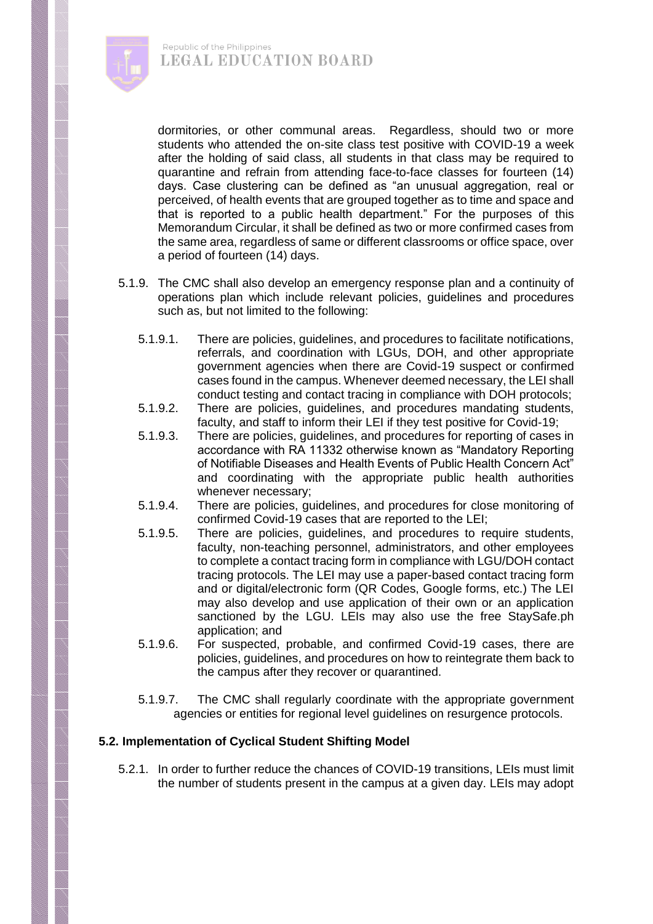

dormitories, or other communal areas. Regardless, should two or more students who attended the on-site class test positive with COVID-19 a week after the holding of said class, all students in that class may be required to quarantine and refrain from attending face-to-face classes for fourteen (14) days. Case clustering can be defined as "an unusual aggregation, real or perceived, of health events that are grouped together as to time and space and that is reported to a public health department." For the purposes of this Memorandum Circular, it shall be defined as two or more confirmed cases from the same area, regardless of same or different classrooms or office space, over a period of fourteen (14) days.

- 5.1.9. The CMC shall also develop an emergency response plan and a continuity of operations plan which include relevant policies, guidelines and procedures such as, but not limited to the following:
	- 5.1.9.1. There are policies, guidelines, and procedures to facilitate notifications, referrals, and coordination with LGUs, DOH, and other appropriate government agencies when there are Covid-19 suspect or confirmed cases found in the campus. Whenever deemed necessary, the LEI shall conduct testing and contact tracing in compliance with DOH protocols;
	- 5.1.9.2. There are policies, guidelines, and procedures mandating students, faculty, and staff to inform their LEI if they test positive for Covid-19;
	- 5.1.9.3. There are policies, guidelines, and procedures for reporting of cases in accordance with RA 11332 otherwise known as "Mandatory Reporting of Notifiable Diseases and Health Events of Public Health Concern Act" and coordinating with the appropriate public health authorities whenever necessary;
	- 5.1.9.4. There are policies, guidelines, and procedures for close monitoring of confirmed Covid-19 cases that are reported to the LEI;
	- 5.1.9.5. There are policies, guidelines, and procedures to require students, faculty, non-teaching personnel, administrators, and other employees to complete a contact tracing form in compliance with LGU/DOH contact tracing protocols. The LEI may use a paper-based contact tracing form and or digital/electronic form (QR Codes, Google forms, etc.) The LEI may also develop and use application of their own or an application sanctioned by the LGU. LEIs may also use the free StaySafe.ph application; and
	- 5.1.9.6. For suspected, probable, and confirmed Covid-19 cases, there are policies, guidelines, and procedures on how to reintegrate them back to the campus after they recover or quarantined.
	- 5.1.9.7. The CMC shall regularly coordinate with the appropriate government agencies or entities for regional level guidelines on resurgence protocols.

## **5.2. Implementation of Cyclical Student Shifting Model**

5.2.1. In order to further reduce the chances of COVID-19 transitions, LEIs must limit the number of students present in the campus at a given day. LEIs may adopt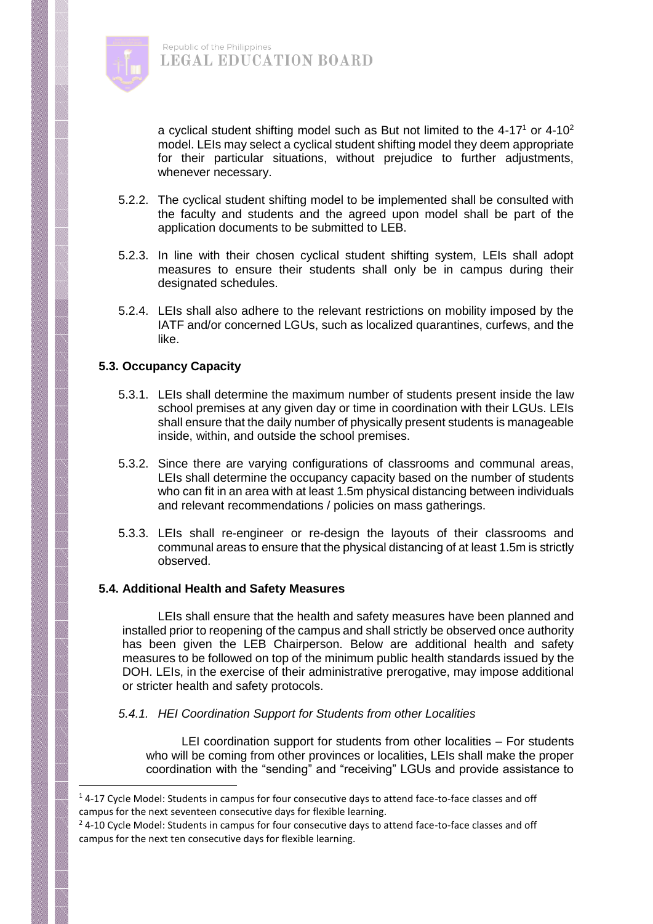

a cyclical student shifting model such as But not limited to the  $4-17<sup>1</sup>$  or  $4-10<sup>2</sup>$ model. LEIs may select a cyclical student shifting model they deem appropriate for their particular situations, without prejudice to further adjustments, whenever necessary.

- 5.2.2. The cyclical student shifting model to be implemented shall be consulted with the faculty and students and the agreed upon model shall be part of the application documents to be submitted to LEB.
- 5.2.3. In line with their chosen cyclical student shifting system, LEIs shall adopt measures to ensure their students shall only be in campus during their designated schedules.
- 5.2.4. LEIs shall also adhere to the relevant restrictions on mobility imposed by the IATF and/or concerned LGUs, such as localized quarantines, curfews, and the like.

## **5.3. Occupancy Capacity**

 $\overline{\phantom{a}}$ 

- 5.3.1. LEIs shall determine the maximum number of students present inside the law school premises at any given day or time in coordination with their LGUs. LEIs shall ensure that the daily number of physically present students is manageable inside, within, and outside the school premises.
- 5.3.2. Since there are varying configurations of classrooms and communal areas, LEIs shall determine the occupancy capacity based on the number of students who can fit in an area with at least 1.5m physical distancing between individuals and relevant recommendations / policies on mass gatherings.
- 5.3.3. LEIs shall re-engineer or re-design the layouts of their classrooms and communal areas to ensure that the physical distancing of at least 1.5m is strictly observed.

## **5.4. Additional Health and Safety Measures**

LEIs shall ensure that the health and safety measures have been planned and installed prior to reopening of the campus and shall strictly be observed once authority has been given the LEB Chairperson. Below are additional health and safety measures to be followed on top of the minimum public health standards issued by the DOH. LEIs, in the exercise of their administrative prerogative, may impose additional or stricter health and safety protocols.

## *5.4.1. HEI Coordination Support for Students from other Localities*

LEI coordination support for students from other localities – For students who will be coming from other provinces or localities, LEIs shall make the proper coordination with the "sending" and "receiving" LGUs and provide assistance to

 $14$ -17 Cycle Model: Students in campus for four consecutive days to attend face-to-face classes and off campus for the next seventeen consecutive days for flexible learning.

 $2$  4-10 Cycle Model: Students in campus for four consecutive days to attend face-to-face classes and off campus for the next ten consecutive days for flexible learning.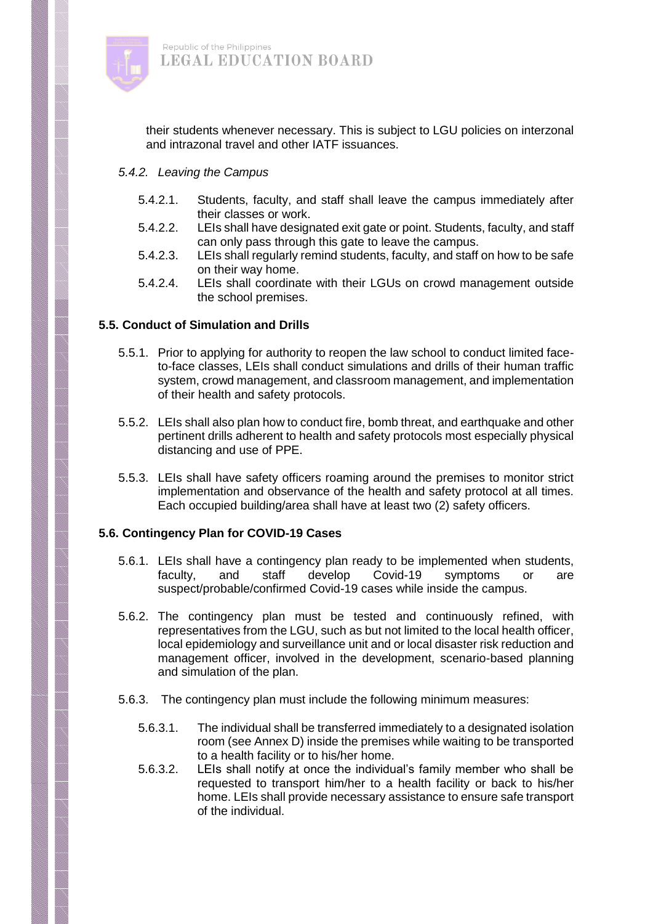

their students whenever necessary. This is subject to LGU policies on interzonal and intrazonal travel and other IATF issuances.

#### *5.4.2. Leaving the Campus*

- 5.4.2.1. Students, faculty, and staff shall leave the campus immediately after their classes or work.
- 5.4.2.2. LEIs shall have designated exit gate or point. Students, faculty, and staff can only pass through this gate to leave the campus.
- 5.4.2.3. LEIs shall regularly remind students, faculty, and staff on how to be safe on their way home.
- 5.4.2.4. LEIs shall coordinate with their LGUs on crowd management outside the school premises.

## **5.5. Conduct of Simulation and Drills**

- 5.5.1. Prior to applying for authority to reopen the law school to conduct limited faceto-face classes, LEIs shall conduct simulations and drills of their human traffic system, crowd management, and classroom management, and implementation of their health and safety protocols.
- 5.5.2. LEIs shall also plan how to conduct fire, bomb threat, and earthquake and other pertinent drills adherent to health and safety protocols most especially physical distancing and use of PPE.
- 5.5.3. LEIs shall have safety officers roaming around the premises to monitor strict implementation and observance of the health and safety protocol at all times. Each occupied building/area shall have at least two (2) safety officers.

## **5.6. Contingency Plan for COVID-19 Cases**

- 5.6.1. LEIs shall have a contingency plan ready to be implemented when students, faculty, and staff develop Covid-19 symptoms or are suspect/probable/confirmed Covid-19 cases while inside the campus.
- 5.6.2. The contingency plan must be tested and continuously refined, with representatives from the LGU, such as but not limited to the local health officer, local epidemiology and surveillance unit and or local disaster risk reduction and management officer, involved in the development, scenario-based planning and simulation of the plan.
- 5.6.3. The contingency plan must include the following minimum measures:
	- 5.6.3.1. The individual shall be transferred immediately to a designated isolation room (see Annex D) inside the premises while waiting to be transported to a health facility or to his/her home.
	- 5.6.3.2. LEIs shall notify at once the individual's family member who shall be requested to transport him/her to a health facility or back to his/her home. LEIs shall provide necessary assistance to ensure safe transport of the individual.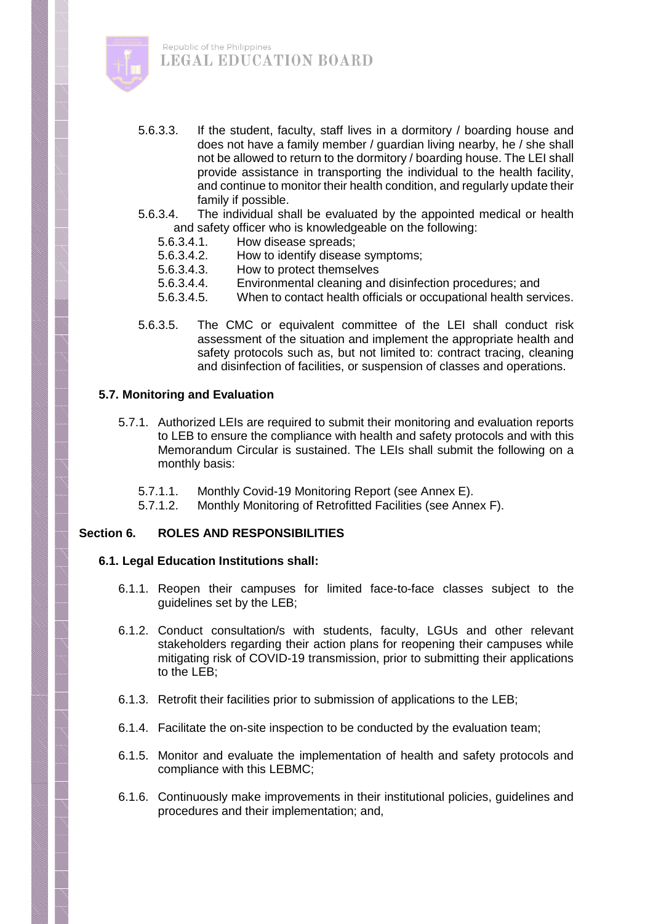

- 5.6.3.3. If the student, faculty, staff lives in a dormitory / boarding house and does not have a family member / guardian living nearby, he / she shall not be allowed to return to the dormitory / boarding house. The LEI shall provide assistance in transporting the individual to the health facility, and continue to monitor their health condition, and regularly update their family if possible.
- 5.6.3.4. The individual shall be evaluated by the appointed medical or health and safety officer who is knowledgeable on the following:
	- 5.6.3.4.1. How disease spreads;
	- 5.6.3.4.2. How to identify disease symptoms;
	- 5.6.3.4.3. How to protect themselves
	- 5.6.3.4.4. Environmental cleaning and disinfection procedures; and
	- 5.6.3.4.5. When to contact health officials or occupational health services.
- 5.6.3.5. The CMC or equivalent committee of the LEI shall conduct risk assessment of the situation and implement the appropriate health and safety protocols such as, but not limited to: contract tracing, cleaning and disinfection of facilities, or suspension of classes and operations.

## **5.7. Monitoring and Evaluation**

- 5.7.1. Authorized LEIs are required to submit their monitoring and evaluation reports to LEB to ensure the compliance with health and safety protocols and with this Memorandum Circular is sustained. The LEIs shall submit the following on a monthly basis:
	- 5.7.1.1. Monthly Covid-19 Monitoring Report (see Annex E).
	- 5.7.1.2. Monthly Monitoring of Retrofitted Facilities (see Annex F).

# **Section 6. ROLES AND RESPONSIBILITIES**

## **6.1. Legal Education Institutions shall:**

- 6.1.1. Reopen their campuses for limited face-to-face classes subject to the guidelines set by the LEB;
- 6.1.2. Conduct consultation/s with students, faculty, LGUs and other relevant stakeholders regarding their action plans for reopening their campuses while mitigating risk of COVID-19 transmission, prior to submitting their applications to the LEB;
- 6.1.3. Retrofit their facilities prior to submission of applications to the LEB;
- 6.1.4. Facilitate the on-site inspection to be conducted by the evaluation team;
- 6.1.5. Monitor and evaluate the implementation of health and safety protocols and compliance with this LEBMC;
- 6.1.6. Continuously make improvements in their institutional policies, guidelines and procedures and their implementation; and,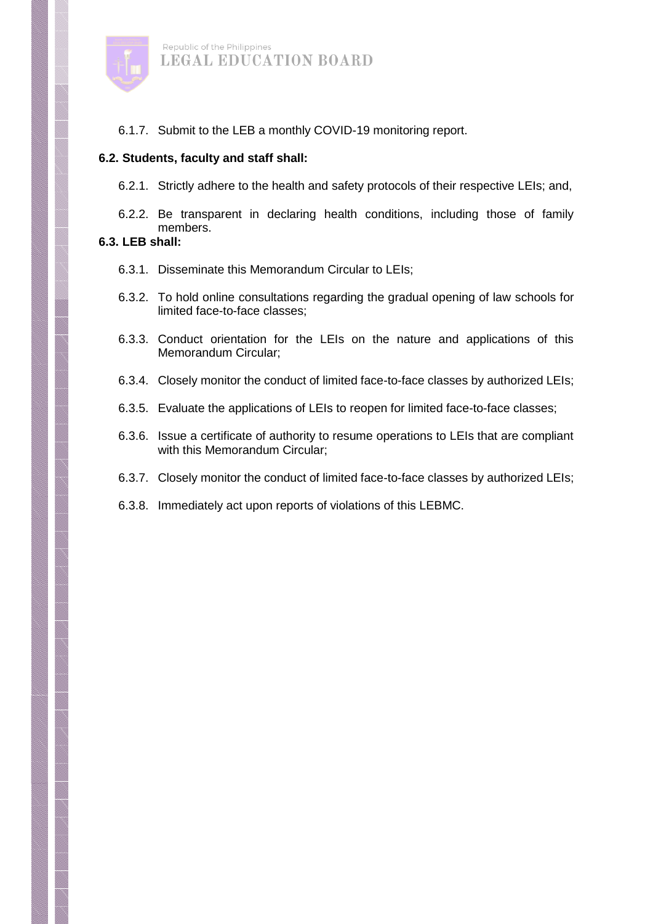

6.1.7. Submit to the LEB a monthly COVID-19 monitoring report.

#### **6.2. Students, faculty and staff shall:**

6.2.1. Strictly adhere to the health and safety protocols of their respective LEIs; and,

6.2.2. Be transparent in declaring health conditions, including those of family members.

## **6.3. LEB shall:**

- 6.3.1. Disseminate this Memorandum Circular to LEIs;
- 6.3.2. To hold online consultations regarding the gradual opening of law schools for limited face-to-face classes;
- 6.3.3. Conduct orientation for the LEIs on the nature and applications of this Memorandum Circular;
- 6.3.4. Closely monitor the conduct of limited face-to-face classes by authorized LEIs;
- 6.3.5. Evaluate the applications of LEIs to reopen for limited face-to-face classes;
- 6.3.6. Issue a certificate of authority to resume operations to LEIs that are compliant with this Memorandum Circular;
- 6.3.7. Closely monitor the conduct of limited face-to-face classes by authorized LEIs;
- 6.3.8. Immediately act upon reports of violations of this LEBMC.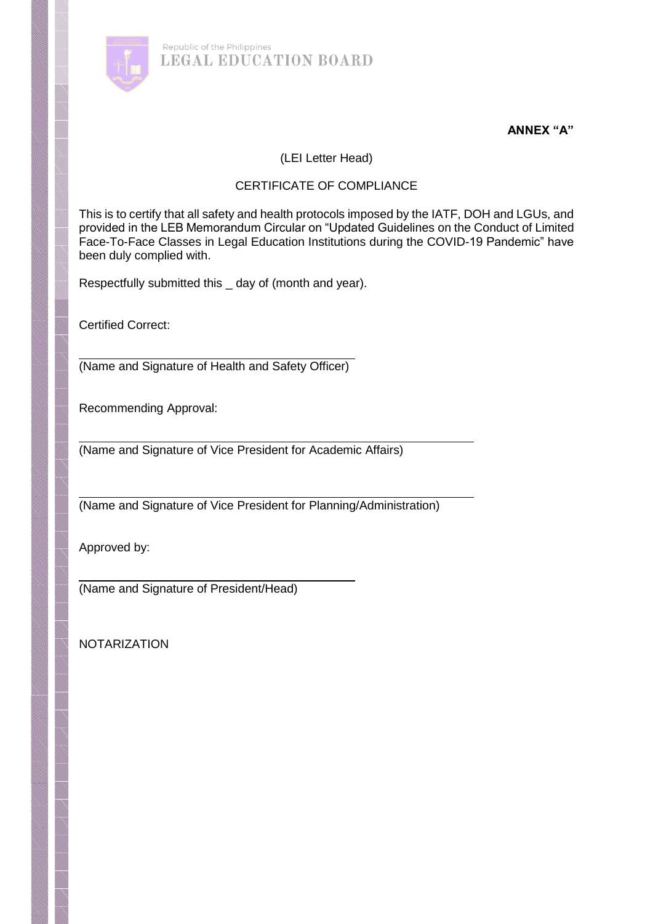

**ANNEX "A"**

(LEI Letter Head)

# CERTIFICATE OF COMPLIANCE

This is to certify that all safety and health protocols imposed by the IATF, DOH and LGUs, and provided in the LEB Memorandum Circular on "Updated Guidelines on the Conduct of Limited Face-To-Face Classes in Legal Education Institutions during the COVID-19 Pandemic" have been duly complied with.

Respectfully submitted this \_ day of (month and year).

Certified Correct:

(Name and Signature of Health and Safety Officer)

Recommending Approval:

(Name and Signature of Vice President for Academic Affairs)

(Name and Signature of Vice President for Planning/Administration)

Approved by:

(Name and Signature of President/Head)

NOTARIZATION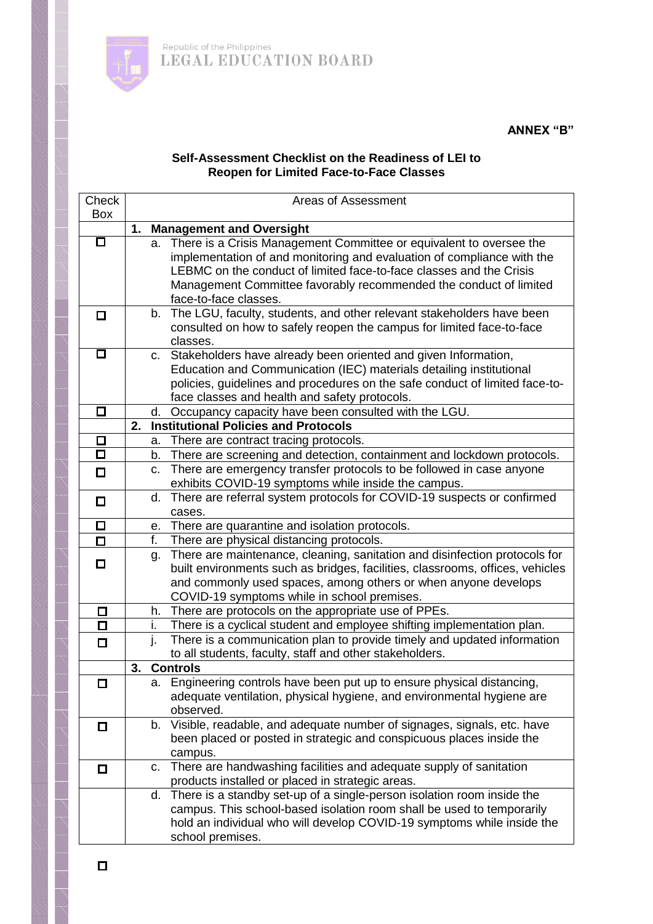

# **ANNEX "B"**

## **Self-Assessment Checklist on the Readiness of LEI to Reopen for Limited Face-to-Face Classes**

| Check                  |    |          | Areas of Assessment                                                                                                                               |
|------------------------|----|----------|---------------------------------------------------------------------------------------------------------------------------------------------------|
| <b>Box</b>             |    |          |                                                                                                                                                   |
|                        | 1. |          | <b>Management and Oversight</b>                                                                                                                   |
| □                      |    | a.       | There is a Crisis Management Committee or equivalent to oversee the                                                                               |
|                        |    |          | implementation of and monitoring and evaluation of compliance with the<br>LEBMC on the conduct of limited face-to-face classes and the Crisis     |
|                        |    |          |                                                                                                                                                   |
|                        |    |          | Management Committee favorably recommended the conduct of limited<br>face-to-face classes.                                                        |
|                        |    | b.       | The LGU, faculty, students, and other relevant stakeholders have been                                                                             |
| 0                      |    |          | consulted on how to safely reopen the campus for limited face-to-face                                                                             |
|                        |    |          | classes.                                                                                                                                          |
| □                      |    | C.       | Stakeholders have already been oriented and given Information,                                                                                    |
|                        |    |          | Education and Communication (IEC) materials detailing institutional                                                                               |
|                        |    |          | policies, guidelines and procedures on the safe conduct of limited face-to-                                                                       |
|                        |    |          | face classes and health and safety protocols.                                                                                                     |
| $\Box$                 |    | d.       | Occupancy capacity have been consulted with the LGU.                                                                                              |
|                        | 2. |          | <b>Institutional Policies and Protocols</b>                                                                                                       |
| $\Box$                 |    | a.       | There are contract tracing protocols.                                                                                                             |
| $\overline{\Box}$      |    | b.       | There are screening and detection, containment and lockdown protocols.                                                                            |
| $\Box$                 |    | C.       | There are emergency transfer protocols to be followed in case anyone                                                                              |
|                        |    |          | exhibits COVID-19 symptoms while inside the campus.                                                                                               |
| $\Box$                 |    | d.       | There are referral system protocols for COVID-19 suspects or confirmed                                                                            |
|                        |    |          | cases.                                                                                                                                            |
| $\Box$                 |    |          | e. There are quarantine and isolation protocols.                                                                                                  |
| $\Box$                 |    | f.       | There are physical distancing protocols.                                                                                                          |
| $\Box$                 |    | g.       | There are maintenance, cleaning, sanitation and disinfection protocols for                                                                        |
|                        |    |          | built environments such as bridges, facilities, classrooms, offices, vehicles                                                                     |
|                        |    |          | and commonly used spaces, among others or when anyone develops                                                                                    |
|                        |    |          | COVID-19 symptoms while in school premises.                                                                                                       |
| □<br>$\overline{\Box}$ |    | h.       | There are protocols on the appropriate use of PPEs.                                                                                               |
|                        |    | i.<br>j. | There is a cyclical student and employee shifting implementation plan.<br>There is a communication plan to provide timely and updated information |
| □                      |    |          | to all students, faculty, staff and other stakeholders.                                                                                           |
|                        | 3. |          | <b>Controls</b>                                                                                                                                   |
| $\Box$                 |    |          | a. Engineering controls have been put up to ensure physical distancing,                                                                           |
|                        |    |          | adequate ventilation, physical hygiene, and environmental hygiene are                                                                             |
|                        |    |          | observed.                                                                                                                                         |
| $\Box$                 |    | b.       | Visible, readable, and adequate number of signages, signals, etc. have                                                                            |
|                        |    |          | been placed or posted in strategic and conspicuous places inside the                                                                              |
|                        |    |          | campus.                                                                                                                                           |
| $\Box$                 |    |          | c. There are handwashing facilities and adequate supply of sanitation                                                                             |
|                        |    |          | products installed or placed in strategic areas.                                                                                                  |
|                        |    | d.       | There is a standby set-up of a single-person isolation room inside the                                                                            |
|                        |    |          | campus. This school-based isolation room shall be used to temporarily                                                                             |
|                        |    |          | hold an individual who will develop COVID-19 symptoms while inside the                                                                            |
|                        |    |          | school premises.                                                                                                                                  |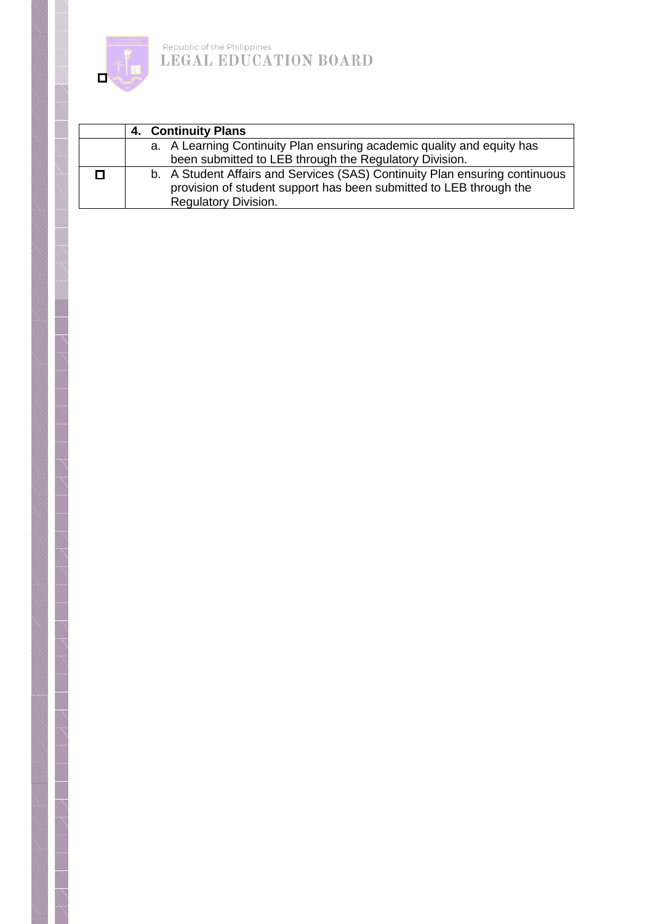

| 4. Continuity Plans                                                         |
|-----------------------------------------------------------------------------|
| a. A Learning Continuity Plan ensuring academic quality and equity has      |
| been submitted to LEB through the Regulatory Division.                      |
| b. A Student Affairs and Services (SAS) Continuity Plan ensuring continuous |
| provision of student support has been submitted to LEB through the          |
| <b>Regulatory Division.</b>                                                 |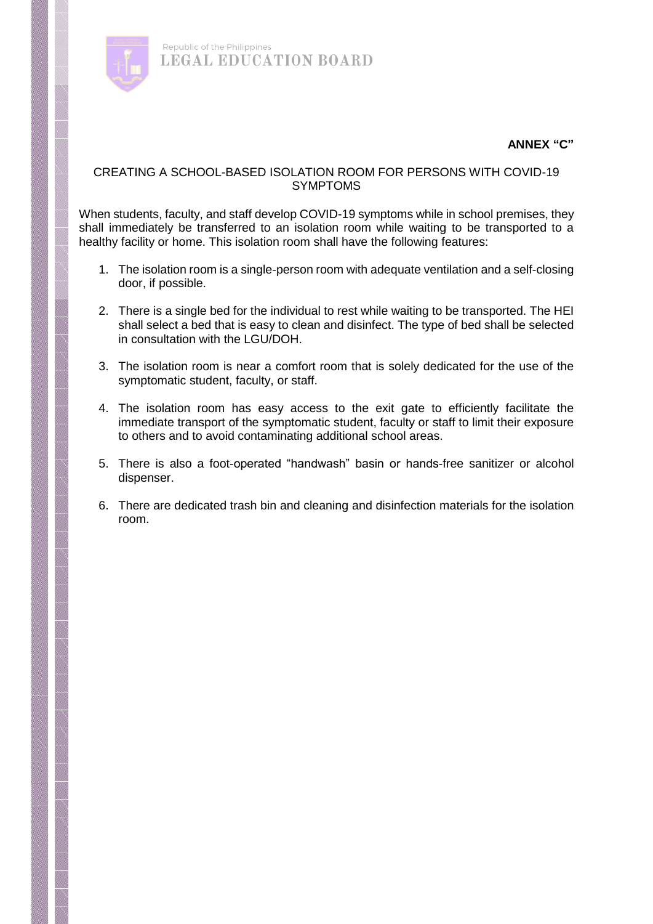

## **ANNEX "C"**

#### CREATING A SCHOOL-BASED ISOLATION ROOM FOR PERSONS WITH COVID-19 **SYMPTOMS**

When students, faculty, and staff develop COVID-19 symptoms while in school premises, they shall immediately be transferred to an isolation room while waiting to be transported to a healthy facility or home. This isolation room shall have the following features:

- 1. The isolation room is a single-person room with adequate ventilation and a self-closing door, if possible.
- 2. There is a single bed for the individual to rest while waiting to be transported. The HEI shall select a bed that is easy to clean and disinfect. The type of bed shall be selected in consultation with the LGU/DOH.
- 3. The isolation room is near a comfort room that is solely dedicated for the use of the symptomatic student, faculty, or staff.
- 4. The isolation room has easy access to the exit gate to efficiently facilitate the immediate transport of the symptomatic student, faculty or staff to limit their exposure to others and to avoid contaminating additional school areas.
- 5. There is also a foot-operated "handwash" basin or hands-free sanitizer or alcohol dispenser.
- 6. There are dedicated trash bin and cleaning and disinfection materials for the isolation room.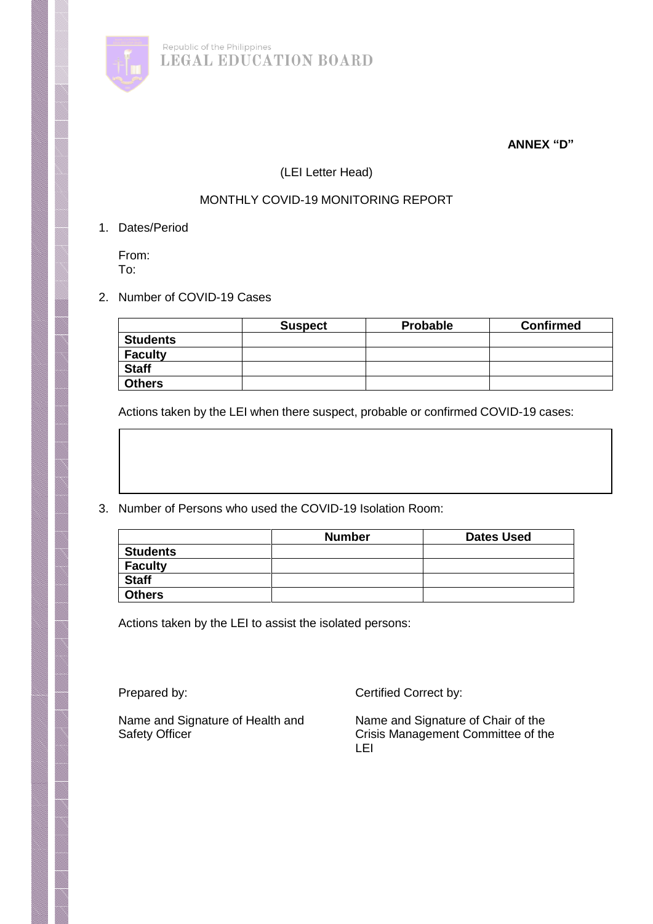

## **ANNEX "D"**

## (LEI Letter Head)

# MONTHLY COVID-19 MONITORING REPORT

#### 1. Dates/Period

From: To:

## 2. Number of COVID-19 Cases

|                 | <b>Suspect</b> | <b>Probable</b> | <b>Confirmed</b> |
|-----------------|----------------|-----------------|------------------|
| <b>Students</b> |                |                 |                  |
| <b>Faculty</b>  |                |                 |                  |
| <b>Staff</b>    |                |                 |                  |
| <b>Others</b>   |                |                 |                  |

Actions taken by the LEI when there suspect, probable or confirmed COVID-19 cases:

3. Number of Persons who used the COVID-19 Isolation Room:

|                 | <b>Number</b> | <b>Dates Used</b> |
|-----------------|---------------|-------------------|
| <b>Students</b> |               |                   |
| <b>Faculty</b>  |               |                   |
| <b>Staff</b>    |               |                   |
| <b>Others</b>   |               |                   |

Actions taken by the LEI to assist the isolated persons:

Prepared by: Certified Correct by:

Name and Signature of Health and Name and Signature of Chair of the<br>Safety Officer Committee of th Crisis Management Committee of the LEI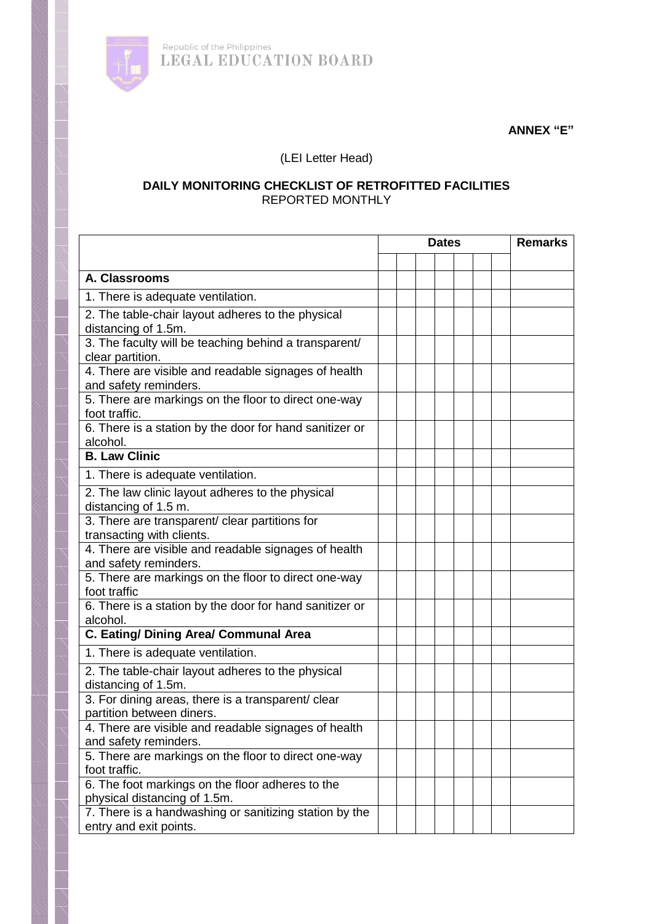

**ANNEX "E"**

(LEI Letter Head)

## **DAILY MONITORING CHECKLIST OF RETROFITTED FACILITIES** REPORTED MONTHLY

|                                                                                  | <b>Dates</b> |  |  | <b>Remarks</b> |  |  |
|----------------------------------------------------------------------------------|--------------|--|--|----------------|--|--|
|                                                                                  |              |  |  |                |  |  |
| A. Classrooms                                                                    |              |  |  |                |  |  |
| 1. There is adequate ventilation.                                                |              |  |  |                |  |  |
| 2. The table-chair layout adheres to the physical<br>distancing of 1.5m.         |              |  |  |                |  |  |
| 3. The faculty will be teaching behind a transparent/<br>clear partition.        |              |  |  |                |  |  |
| 4. There are visible and readable signages of health<br>and safety reminders.    |              |  |  |                |  |  |
| 5. There are markings on the floor to direct one-way<br>foot traffic.            |              |  |  |                |  |  |
| 6. There is a station by the door for hand sanitizer or<br>alcohol.              |              |  |  |                |  |  |
| <b>B. Law Clinic</b>                                                             |              |  |  |                |  |  |
| 1. There is adequate ventilation.                                                |              |  |  |                |  |  |
| 2. The law clinic layout adheres to the physical<br>distancing of 1.5 m.         |              |  |  |                |  |  |
| 3. There are transparent/ clear partitions for<br>transacting with clients.      |              |  |  |                |  |  |
| 4. There are visible and readable signages of health<br>and safety reminders.    |              |  |  |                |  |  |
| 5. There are markings on the floor to direct one-way<br>foot traffic             |              |  |  |                |  |  |
| 6. There is a station by the door for hand sanitizer or<br>alcohol.              |              |  |  |                |  |  |
| C. Eating/ Dining Area/ Communal Area                                            |              |  |  |                |  |  |
| 1. There is adequate ventilation.                                                |              |  |  |                |  |  |
| 2. The table-chair layout adheres to the physical<br>distancing of 1.5m.         |              |  |  |                |  |  |
| 3. For dining areas, there is a transparent/ clear<br>partition between diners.  |              |  |  |                |  |  |
| 4. There are visible and readable signages of health<br>and safety reminders.    |              |  |  |                |  |  |
| 5. There are markings on the floor to direct one-way<br>foot traffic.            |              |  |  |                |  |  |
| 6. The foot markings on the floor adheres to the<br>physical distancing of 1.5m. |              |  |  |                |  |  |
| 7. There is a handwashing or sanitizing station by the<br>entry and exit points. |              |  |  |                |  |  |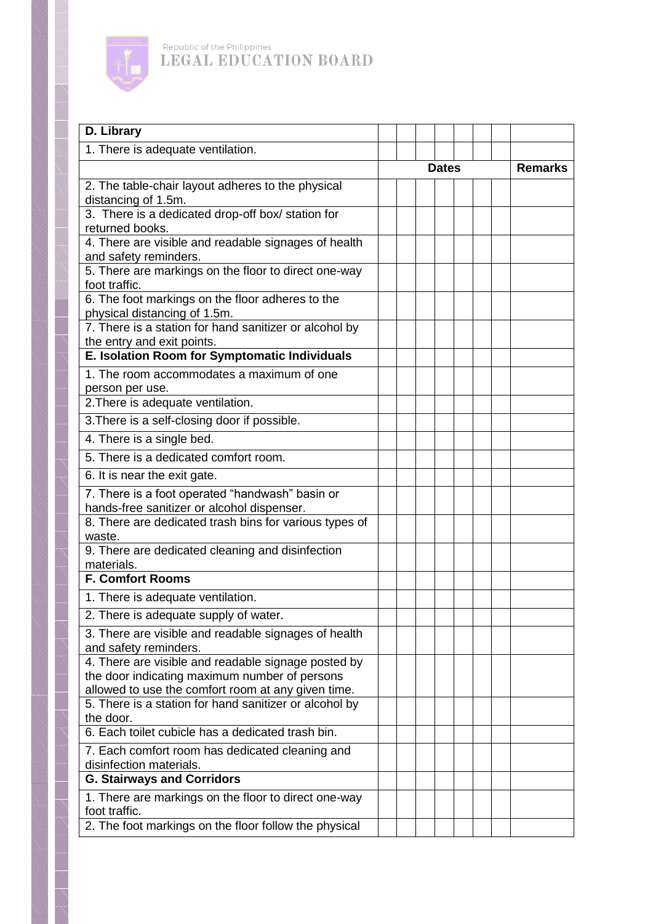

| D. Library                                                                                                                                                 |  |              |  |  |  |                |
|------------------------------------------------------------------------------------------------------------------------------------------------------------|--|--------------|--|--|--|----------------|
| 1. There is adequate ventilation.                                                                                                                          |  |              |  |  |  |                |
|                                                                                                                                                            |  | <b>Dates</b> |  |  |  | <b>Remarks</b> |
| 2. The table-chair layout adheres to the physical<br>distancing of 1.5m.                                                                                   |  |              |  |  |  |                |
| 3. There is a dedicated drop-off box/ station for<br>returned books.                                                                                       |  |              |  |  |  |                |
| 4. There are visible and readable signages of health<br>and safety reminders.                                                                              |  |              |  |  |  |                |
| 5. There are markings on the floor to direct one-way<br>foot traffic.                                                                                      |  |              |  |  |  |                |
| 6. The foot markings on the floor adheres to the<br>physical distancing of 1.5m.                                                                           |  |              |  |  |  |                |
| 7. There is a station for hand sanitizer or alcohol by<br>the entry and exit points.                                                                       |  |              |  |  |  |                |
| E. Isolation Room for Symptomatic Individuals                                                                                                              |  |              |  |  |  |                |
| 1. The room accommodates a maximum of one<br>person per use.                                                                                               |  |              |  |  |  |                |
| 2. There is adequate ventilation.                                                                                                                          |  |              |  |  |  |                |
| 3. There is a self-closing door if possible.                                                                                                               |  |              |  |  |  |                |
| 4. There is a single bed.                                                                                                                                  |  |              |  |  |  |                |
| 5. There is a dedicated comfort room.                                                                                                                      |  |              |  |  |  |                |
| 6. It is near the exit gate.                                                                                                                               |  |              |  |  |  |                |
| 7. There is a foot operated "handwash" basin or<br>hands-free sanitizer or alcohol dispenser.                                                              |  |              |  |  |  |                |
| 8. There are dedicated trash bins for various types of<br>waste.                                                                                           |  |              |  |  |  |                |
| 9. There are dedicated cleaning and disinfection<br>materials.                                                                                             |  |              |  |  |  |                |
| <b>F. Comfort Rooms</b>                                                                                                                                    |  |              |  |  |  |                |
| 1. There is adequate ventilation.                                                                                                                          |  |              |  |  |  |                |
| 2. There is adequate supply of water.                                                                                                                      |  |              |  |  |  |                |
| 3. There are visible and readable signages of health<br>and safety reminders.                                                                              |  |              |  |  |  |                |
| 4. There are visible and readable signage posted by<br>the door indicating maximum number of persons<br>allowed to use the comfort room at any given time. |  |              |  |  |  |                |
| 5. There is a station for hand sanitizer or alcohol by<br>the door.                                                                                        |  |              |  |  |  |                |
| 6. Each toilet cubicle has a dedicated trash bin.                                                                                                          |  |              |  |  |  |                |
| 7. Each comfort room has dedicated cleaning and<br>disinfection materials.                                                                                 |  |              |  |  |  |                |
| <b>G. Stairways and Corridors</b>                                                                                                                          |  |              |  |  |  |                |
| 1. There are markings on the floor to direct one-way<br>foot traffic.                                                                                      |  |              |  |  |  |                |
| 2. The foot markings on the floor follow the physical                                                                                                      |  |              |  |  |  |                |